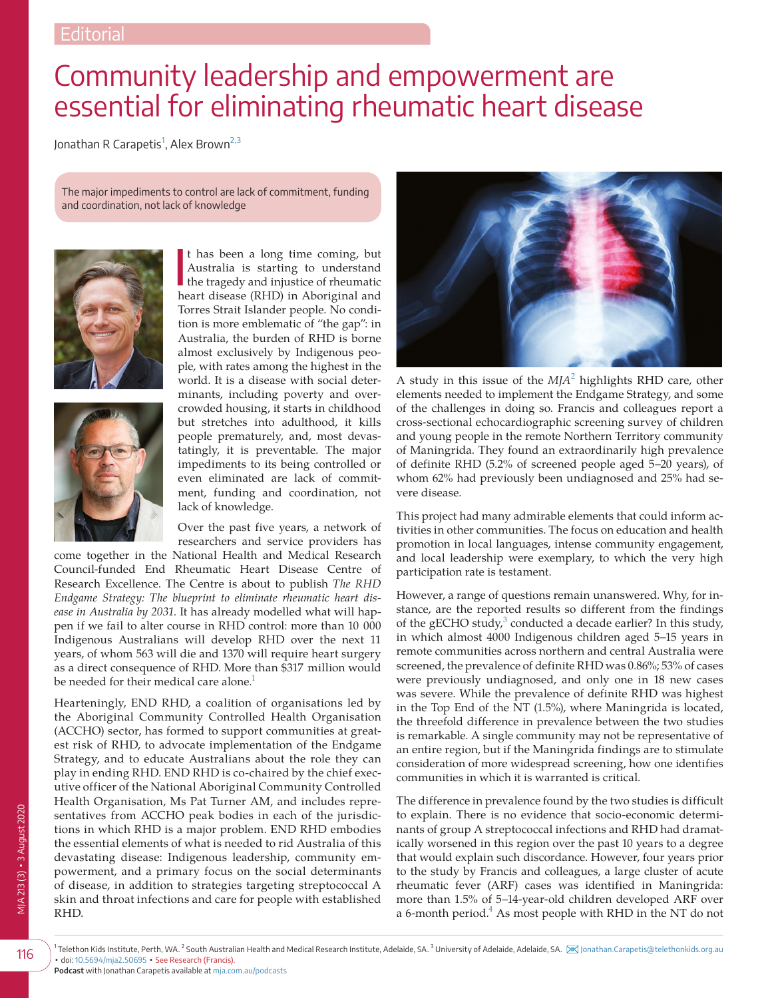## Community leadership and empowerment are essential for eliminating rheumatic heart disease

Jonathan R Carapetis<sup>[1](#page-0-0)</sup>, Alex Brown<sup>[2,3](#page-0-1)</sup>

The major impediments to control are lack of commitment, funding and coordination, not lack of knowledge





t has been a long time coming, but<br>Australia is starting to understand<br>the tragedy and injustice of rheumatic<br>bent disputed by in Aberican t has been a long time coming, but Australia is starting to understand heart disease (RHD) in Aboriginal and Torres Strait Islander people. No condition is more emblematic of "the gap": in Australia, the burden of RHD is borne almost exclusively by Indigenous people, with rates among the highest in the world. It is a disease with social determinants, including poverty and overcrowded housing, it starts in childhood but stretches into adulthood, it kills people prematurely, and, most devastatingly, it is preventable. The major impediments to its being controlled or even eliminated are lack of commitment, funding and coordination, not lack of knowledge.

Over the past five years, a network of researchers and service providers has

come together in the National Health and Medical Research Council-funded End Rheumatic Heart Disease Centre of Research Excellence. The Centre is about to publish *The RHD Endgame Strategy: The blueprint to eliminate rheumatic heart disease in Australia by 2031*. It has already modelled what will happen if we fail to alter course in RHD control: more than 10 000 Indigenous Australians will develop RHD over the next 11 years, of whom 563 will die and 1370 will require heart surgery as a direct consequence of RHD. More than \$317 million would be needed for their medical care alone.<sup>1</sup>

Hearteningly, END RHD, a coalition of organisations led by the Aboriginal Community Controlled Health Organisation (ACCHO) sector, has formed to support communities at greatest risk of RHD, to advocate implementation of the Endgame Strategy, and to educate Australians about the role they can play in ending RHD. END RHD is co-chaired by the chief executive officer of the National Aboriginal Community Controlled Health Organisation, Ms Pat Turner AM, and includes representatives from ACCHO peak bodies in each of the jurisdictions in which RHD is a major problem. END RHD embodies the essential elements of what is needed to rid Australia of this devastating disease: Indigenous leadership, community empowerment, and a primary focus on the social determinants of disease, in addition to strategies targeting streptococcal A skin and throat infections and care for people with established RHD.



A study in this issue of the *MJA*[2](#page-1-1) highlights RHD care, other elements needed to implement the Endgame Strategy, and some of the challenges in doing so. Francis and colleagues report a cross-sectional echocardiographic screening survey of children and young people in the remote Northern Territory community of Maningrida. They found an extraordinarily high prevalence of definite RHD (5.2% of screened people aged 5–20 years), of whom 62% had previously been undiagnosed and 25% had severe disease.

This project had many admirable elements that could inform activities in other communities. The focus on education and health promotion in local languages, intense community engagement, and local leadership were exemplary, to which the very high participation rate is testament.

However, a range of questions remain unanswered. Why, for instance, are the reported results so different from the findings of the gECHO study, $3$  conducted a decade earlier? In this study, in which almost 4000 Indigenous children aged 5–15 years in remote communities across northern and central Australia were screened, the prevalence of definite RHD was 0.86%; 53% of cases were previously undiagnosed, and only one in 18 new cases was severe. While the prevalence of definite RHD was highest in the Top End of the NT (1.5%), where Maningrida is located, the threefold difference in prevalence between the two studies is remarkable. A single community may not be representative of an entire region, but if the Maningrida findings are to stimulate consideration of more widespread screening, how one identifies communities in which it is warranted is critical.

The difference in prevalence found by the two studies is difficult to explain. There is no evidence that socio-economic determinants of group A streptococcal infections and RHD had dramatically worsened in this region over the past 10 years to a degree that would explain such discordance. However, four years prior to the study by Francis and colleagues, a large cluster of acute rheumatic fever (ARF) cases was identified in Maningrida: more than 1.5% of 5–14-year-old children developed ARF over a 6-month period.<sup>4</sup> As most people with RHD in the NT do not

<span id="page-0-1"></span><span id="page-0-0"></span>116